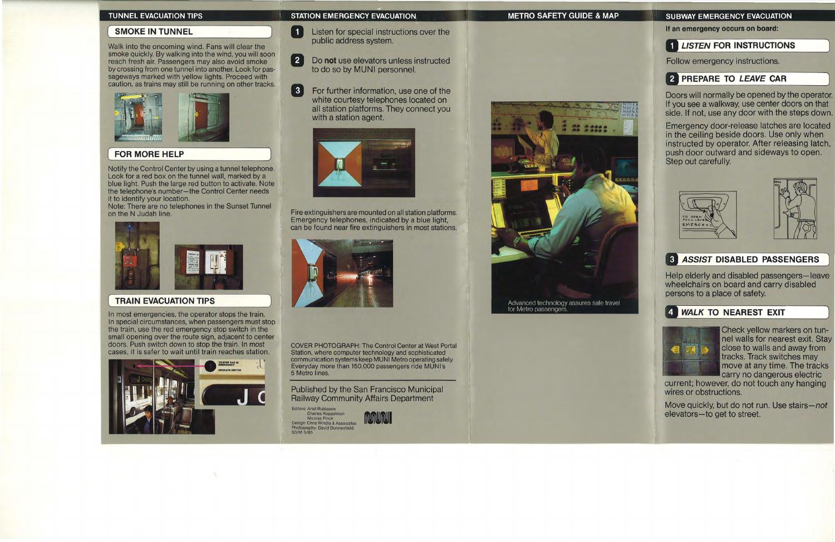## **SMOKE IN TUNNEL**

If an emergency occurs on board:

# **1 LISTEN FOR INSTRUCTIONS**

Follow emergency instructions.

# **2 PREPARE TO LEAVE CAR**

Doors will normally be opened by the operator. If you see a walkway. use center doors on that side. If not, use any door with the steps down.

Help elderly and disabled passengers-leave wheelchairs on board and carry disabled persons to a place of safety.

## **4 WALK TO NEAREST EXIT**



Move quickly. but do not run. Use *stairs-not* elevators-to get to street.

Emergency door-release latches are located in the ceiling beside doors. Use only when instructed by operator. After releasing latch. push door outward and sideways to open. Step out carefully.





# **8 ASSIST DISABLED PASSENGERS**

 $\blacksquare$ Listen for special instructions over the public address system.

 $\begin{bmatrix} 3 \end{bmatrix}$ For further information, use one of the white courtesy telephones located on all station platforms. They connect you with a station agent.



Published by the San Franci<br>Railway Community Affairs I<br>Editors: Ariel Rubissow<br>Charles Koppelman<br>Design: Chris Windle & Associates Published by the San Francisco Municipal Railway Community Affairs Department

Editors: Ariel Rubissow<br>Charles Koppelman Photography: David Donnenfield<br>50/M 5/85



Advanced technology assures safe travel for Metro passengers

## TUNNEL EVACUATION TIPS STATION EMERGENCY EVACUATION STATION METRO SAFETY GUIDE & MAP SUBWAY EMERGENCY EVACUATION

Check yellow markers on tunnel walls for nearest exit. Stay close to walls and away from tracks. Track switches may move at any time. The tracks carry no dangerous electric

current; however. do not touch any hanging wires or obstructions.



COVER PHOTOGRAPH: The Control Center at West Portal Station, where computer technology and sophisticated communication systems keep MUNI Metrooperating safely. Everyday more than 150,000 passengers ride MUNI's 5 Metro lines.

Fire extinguishers are mounted on all station platforms. Emergency telephones. indicated by a blue light, can be found near fire extinguishers in most stations.



)

## FOR MORE HELP

In most emergencies, the operator stops the train. In special circumstances, when passengers must stop the train, use the red emergency stop switch in the small opening over the route sign, adjacent to center doors. Push switch down to stop the train. In most cases, it is safer to wait until train reaches station.



Walk into the oncoming wind. Fans will clear the smoke quickly. By walking into the wind, you will soon reach fresh air. Passengers may also avoid smoke by crossing from one tunnel into another. Look for passageways marked with yellow lights. Proceed with caution, as trains may still be running on other tracks.



Notify the Control Center by using a tunnel telephone. Look for a red box on the tunnel wall. marked by a blue light. Push the large red button to activate. Note the telephone's number-the Control Center needs it to identify your location.

Note: There are no telephones in the Sunset Tunnel on the N Judah line.



## **TRAIN EVACUATION TIPS**